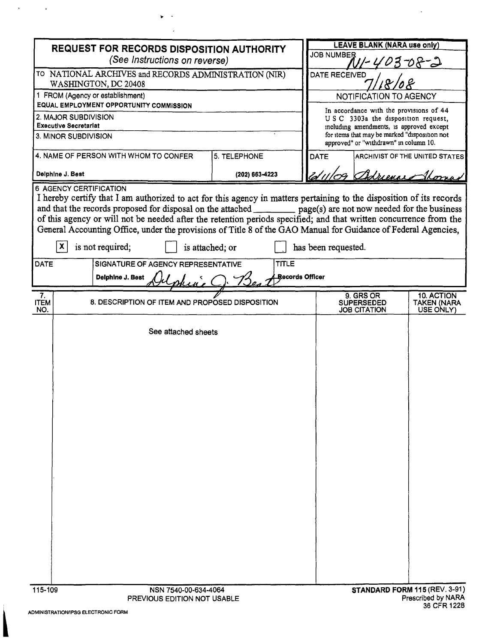| <b>REQUEST FOR RECORDS DISPOSITION AUTHORITY</b><br>(See Instructions on reverse)                                                                                                                                                           |                                                 |                 |  |  | <b>LEAVE BLANK (NARA use only)</b><br><b>JOB NUMBER</b><br>3708-2                         |                               |                                                       |                                        |                                                                               |
|---------------------------------------------------------------------------------------------------------------------------------------------------------------------------------------------------------------------------------------------|-------------------------------------------------|-----------------|--|--|-------------------------------------------------------------------------------------------|-------------------------------|-------------------------------------------------------|----------------------------------------|-------------------------------------------------------------------------------|
|                                                                                                                                                                                                                                             |                                                 |                 |  |  |                                                                                           |                               |                                                       |                                        | TO NATIONAL ARCHIVES and RECORDS ADMINISTRATION (NIR)<br>WASHINGTON, DC 20408 |
| 1 FROM (Agency or establishment)<br>EQUAL EMPLOYMENT OPPORTUNITY COMMISSION                                                                                                                                                                 |                                                 |                 |  |  | NOTIFICATION TO AGENCY                                                                    |                               |                                                       |                                        |                                                                               |
| 2. MAJOR SUBDIVISION                                                                                                                                                                                                                        |                                                 |                 |  |  | In accordance with the provisions of 44<br>USC 3303a the disposition request,             |                               |                                                       |                                        |                                                                               |
| <b>Executive Secretariat</b>                                                                                                                                                                                                                |                                                 |                 |  |  | including amendments, is approved except<br>for items that may be marked "disposition not |                               |                                                       |                                        |                                                                               |
| 3. MINOR SUBDIVISION                                                                                                                                                                                                                        |                                                 |                 |  |  |                                                                                           |                               | approved" or "withdrawn" in column 10.                |                                        |                                                                               |
| 4. NAME OF PERSON WITH WHOM TO CONFER<br>5. TELEPHONE                                                                                                                                                                                       |                                                 |                 |  |  | <b>DATE</b><br>ARCHIVIST OF THE UNITED STATES                                             |                               |                                                       |                                        |                                                                               |
|                                                                                                                                                                                                                                             | Delphine J. Best                                | (202) 663-4223  |  |  |                                                                                           | Adrience Sho                  |                                                       |                                        |                                                                               |
|                                                                                                                                                                                                                                             | <b>6 AGENCY CERTIFICATION</b>                   |                 |  |  |                                                                                           |                               |                                                       |                                        |                                                                               |
| I hereby certify that I am authorized to act for this agency in matters pertaining to the disposition of its records<br>and that the records proposed for disposal on the attached ____________ page(s) are not now needed for the business |                                                 |                 |  |  |                                                                                           |                               |                                                       |                                        |                                                                               |
| of this agency or will not be needed after the retention periods specified; and that written concurrence from the                                                                                                                           |                                                 |                 |  |  |                                                                                           |                               |                                                       |                                        |                                                                               |
| General Accounting Office, under the provisions of Title 8 of the GAO Manual for Guidance of Federal Agencies,                                                                                                                              |                                                 |                 |  |  |                                                                                           |                               |                                                       |                                        |                                                                               |
|                                                                                                                                                                                                                                             | X.<br>is not required;                          | is attached; or |  |  |                                                                                           | has been requested.           |                                                       |                                        |                                                                               |
| SIGNATURE OF AGENCY REPRESENTATIVE<br><b>TITLE</b><br><b>DATE</b>                                                                                                                                                                           |                                                 |                 |  |  |                                                                                           |                               |                                                       |                                        |                                                                               |
| Records Officer<br>Delphine J. Best                                                                                                                                                                                                         |                                                 |                 |  |  |                                                                                           |                               |                                                       |                                        |                                                                               |
| 7.<br><b>ITEM</b><br>NO.                                                                                                                                                                                                                    | 8. DESCRIPTION OF ITEM AND PROPOSED DISPOSITION |                 |  |  |                                                                                           |                               | 9. GRS OR<br><b>SUPERSEDED</b><br><b>JOB CITATION</b> | 10. ACTION<br>TAKEN (NARA<br>USE ONLY) |                                                                               |
|                                                                                                                                                                                                                                             | See attached sheets                             |                 |  |  |                                                                                           |                               |                                                       |                                        |                                                                               |
|                                                                                                                                                                                                                                             |                                                 |                 |  |  |                                                                                           |                               |                                                       |                                        |                                                                               |
|                                                                                                                                                                                                                                             |                                                 |                 |  |  |                                                                                           |                               |                                                       |                                        |                                                                               |
|                                                                                                                                                                                                                                             |                                                 |                 |  |  |                                                                                           |                               |                                                       |                                        |                                                                               |
|                                                                                                                                                                                                                                             |                                                 |                 |  |  |                                                                                           |                               |                                                       |                                        |                                                                               |
|                                                                                                                                                                                                                                             |                                                 |                 |  |  |                                                                                           |                               |                                                       |                                        |                                                                               |
|                                                                                                                                                                                                                                             |                                                 |                 |  |  |                                                                                           |                               |                                                       |                                        |                                                                               |
|                                                                                                                                                                                                                                             |                                                 |                 |  |  |                                                                                           |                               |                                                       |                                        |                                                                               |
|                                                                                                                                                                                                                                             |                                                 |                 |  |  |                                                                                           |                               |                                                       |                                        |                                                                               |
|                                                                                                                                                                                                                                             |                                                 |                 |  |  |                                                                                           |                               |                                                       |                                        |                                                                               |
|                                                                                                                                                                                                                                             |                                                 |                 |  |  |                                                                                           |                               |                                                       |                                        |                                                                               |
|                                                                                                                                                                                                                                             |                                                 |                 |  |  |                                                                                           |                               |                                                       |                                        |                                                                               |
|                                                                                                                                                                                                                                             |                                                 |                 |  |  |                                                                                           |                               |                                                       |                                        |                                                                               |
|                                                                                                                                                                                                                                             |                                                 |                 |  |  |                                                                                           |                               |                                                       |                                        |                                                                               |
|                                                                                                                                                                                                                                             |                                                 |                 |  |  |                                                                                           |                               |                                                       |                                        |                                                                               |
|                                                                                                                                                                                                                                             |                                                 |                 |  |  |                                                                                           |                               |                                                       |                                        |                                                                               |
|                                                                                                                                                                                                                                             | 115-109<br>NSN 7540-00-634-4064                 |                 |  |  |                                                                                           | STANDARD FORM 115 (REV. 3-91) |                                                       |                                        |                                                                               |

 $\begin{array}{c} \hline \end{array}$ 

 $\mathcal{A}^{\text{max}}_{\text{max}}$ 

 $\mathbf{p}=\mathbf{q}$  $\sim 10^7$   $\sim$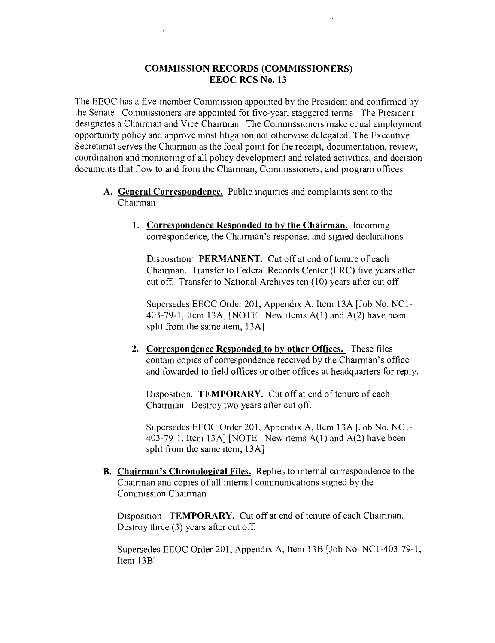## **COMMISSION RECORDS (COMMISSIONERS) EEOC RCS No. 13**

The EEOC has a five-member Commission appomted by the President and confirmed by the Senate Commissioners are appomted for five-year, staggered terms The President designates a Chairman and Vice Chairman The Commissioners make equal employment opportunity policy and approve most litigation not otherwise delegated. The Executive Secretariat serves the Chairman as the focal point for the receipt, documentation, review, coordination and monitoring of all policy development and related activities, and decision documents that flow to and from the Chairman, Commissioners, and program offices

- **A. General Correspondence.** Public inqumes and complaints sent to the Chairman
	- **1. Correspondence Responded to by the Chairman.** Incormng correspondence, the Chairman 's response, and signed declarations

Disposition: PERMANENT. Cut off at end of tenure of each Chamnan. Transfer to Federal Records Center (FRC) five years after cut off. Transfer to National Archives ten (10) years after cut off

Supersedes EEOC Order 201, Appendix A, Item 13A [Job No. NC1- 403-79-1, Item 13A] [NOTE New Items A(l) and A(2) have been split from the same item, 13A]

**2. Correspondence Responded to by other Offices.** These files contain copies of correspondence received by the Chairman's office and fowarded to field offices or other offices at headquarters for reply.

Disposition. **TEMPORARY.** Cut off at end of tenure of each Chairman Destroy two years after cut off.

Supersedes EEOC Order 201, Appendix A, Item 13A [Job No. NCl-403-79-1, Item 13A] [NOTE New items  $A(1)$  and  $A(2)$  have been split from the same item, 13A]

**B. Chairman's Chronological Files.** Replies to internal correspondence to the Chairman and copies of all mternal commurucations signed by the Commission Chairman

Disposition **TEMPORARY.** Cut off at end of tenure of each Chairman. Destroy three (3) years after cut off.

Supersedes EEOC Order 201, Appendix A, Item 13B [Job No NCl-403-79-1, Item 13B]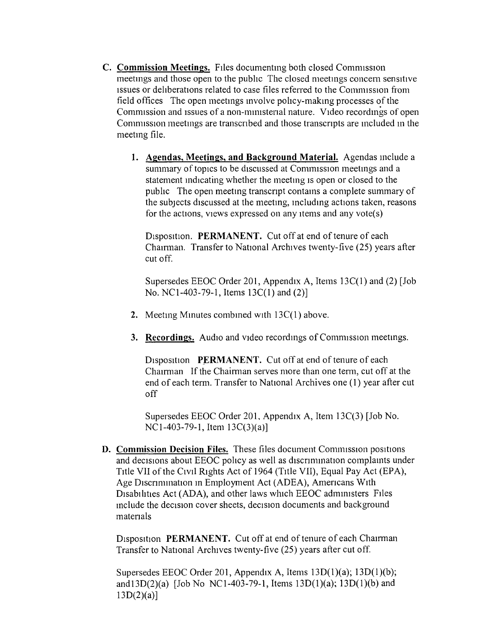- **C. Commission Meetings.** Files documenting both closed Comnussion meetmgs and those open to the pubhc The closed meetings concem sensitive Issues or deliberations related to case files referred to the Commission from field offices The open meetings involve policy-making processes of the Commission and issues of a non-ministerial nature. Video recordings of open Commission meetings are transcribed and those transcripts are included in the meeting file.
	- **1. Agendas, Meetings, and Background Material.** Agendas include a summary of topics to be discussed at Commission meetings and a statement indicating whether the meetmg IS open or closed to the public The open meeting transcript contains a complete summary of the subjects discussed at the meeting, including actions taken, reasons for the actions, views expressed on any items and any vote(s)

Disposition. **PERMANENT.** Cut off at end of tenure of each Chamnan. Transfer to National Archives twenty-five (25) years after cut off.

Supersedes EEOC Order 201, Appendix A, Items 13C(I) and (2) [Job No. NC 1-403-79-1, Items 13C(1) and (2)]

- **2.** Meeting Minutes combined with 13C(1) above.
- **3. Recordings.** Audio and video recordings of Commission meetings.

Disposition PERMANENT. Cut off at end of tenure of each Chairman If the Chairman serves more than one term, cut off at the end of each term. Transfer to National Archives one (1) year after cut off

Supersedes EEOC Order 201, Appendix A, Item 13C(3) [Job No. NCI-403-79-1, Item 13C(3)(a)]

**D. Commission Decision Files.** These files document Comnussion positrons and decisions about EEOC policy as well as discrimination complaints under TItle VII of the Civil RIghts Act of 1964 (TItle VII), Equal Pay Act (EPA), Age Discrimination in Employment Act (ADEA), Americans With Disabilities Act (ADA), and other laws which EEOC administers Files include the decision cover sheets, decision documents and background matenals

Disposition **PERMANENT.** Cut off at end of tenure of each Chairman Transfer to National Archives twenty-five (25) years after cut off.

Supersedes EEOC Order 201, Appendix A, Items 13D(1)(a); 13D(1)(b); andI3D(2)(a) [Job No NCl-403-79-1, Items 13D(1)(a); 13D(I)(b) and  $13D(2)(a)$ ]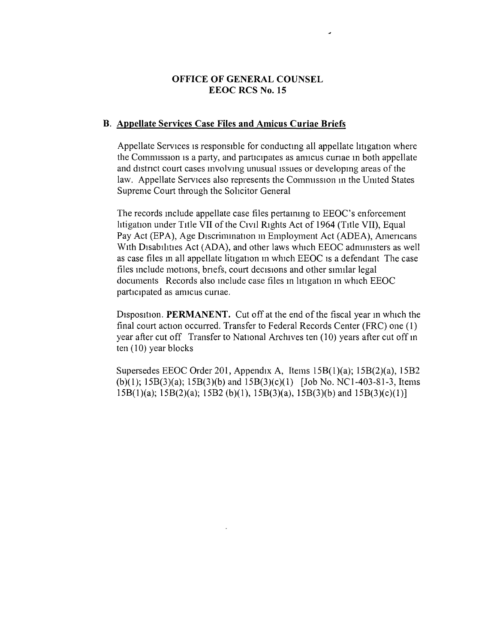# OFFICE OF GENERAL COUNSEL EEOC RCS No.1S

### B. Appellate Services Case Files and Amicus Curiae Briefs

Appellate Services is responsible for conducting all appellate litigation where the Commission is a party, and participates as amicus curiae in both appellate and distnct court cases involvmg unusual Issues or developmg areas of the law. Appellate Services also represents the Commission in the United States Supreme Court through the Solicitor General

The records include appellate case files pertaimng to EEOC's enforcement htigation under TItle VII of the CIvIl RIghts Act of 1964 (TItle VII), Equal Pay Act (EPA), Age Discrimination in Employment Act (ADEA), Americans With Disabilities Act (ADA), and other laws which EEOC administers as well as case files in all appellate litigation in which EEOC is a defendant The case files include motions, briefs, court decisions and other similar legal documents Records also include case files in litigation in which EEOC participated as amicus curiae.

Disposition. **PERMANENT.** Cut off at the end of the fiscal year in which the final court action occurred. Transfer to Federal Records Center (FRC) one (1) year after cut off Transfer to National Archives ten (10) years after cut off in ten (10) year blocks

Supersedes EEOC Order 201, Appendix A, Items ISB(I)(a); ISB(2)(a), *ISB2* (b)(1); ISB(3)(a); *lSB(3)(b)* and *ISB(3)(c)(1)* [Job No. NCI-403-81-3, Items ISB(1)(a); ISB(2)(a); *ISB2* (b)(1), ISB(3)(a), *ISB(3)(b)* and *lSB(3)(c)(1)]*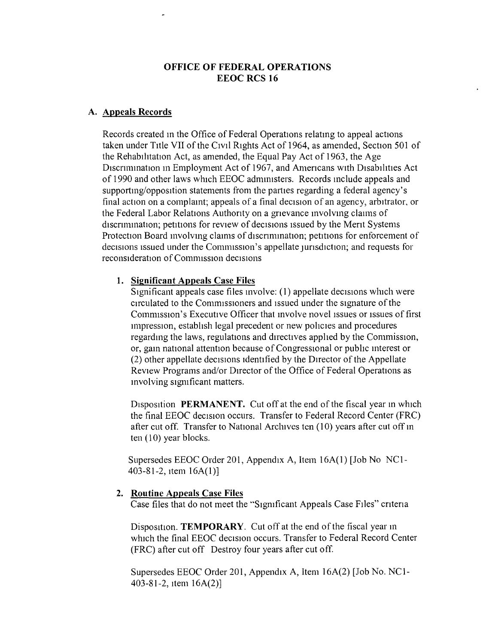# **OFFICE OF FEDERAL OPERATIONS EEOC RCS 16**

### **A. Appeals Records**

Records created m the Office of Federal Operations relatmg to appeal actions taken under Title VII of the Civil Rights Act of 1964, as amended, Section 501 of the Rehabihtation Act, as amended, the Equal Pay Act of 1963, the Age Discrimination in Employment Act of 1967, and Americans with Disabilities Act of 1990 and other laws which EEOC adrmmsters. Records mclude appeals and supportmg/opposition statements from the parties regarding a federal agency's final action on a complamt; appeals of a final decision of an agency, arbitrator, or the Federal Labor Relations Authonty on a gnevance mvolvmg claims of discrimination; petitions for review of decisions issued by the Merit Systems Protection Board involving claims of discrimination; petitions for enforcement of decisions issued under the Commission's appellate jurisdiction; and requests for reconsideration of Commission decisions

## **1. Significant Appeals Case Files**

SIgnificant appeals case files mvolve: (1) appellate decisions which were circulated to the Comities conters and issued under the signature of the Commission's Executive Officer that involve novel issues or issues of first impression, establish legal precedent or new policies and procedures regardmg the laws, regulations and directives apphed by the Commission, or, gam national attention because of Congressional or public mterest or (2) other appellate decisions identified by the DIrector of the Appellate Review Programs and/or Director of the Office of Federal Operations as mvolving significant matters.

Disposition **PERMANENT.** Cut off at the end of the fiscal year in which the final EEOC decision occurs. Transfer to Federal Record Center (FRC) after cut off. Transfer to National Archives ten (10) years after cut off in ten (10) year blocks.

Supersedes EEOC Order 201, Appendix A, Item 16A(1) [Job No NC1- 403-81-2, Item 16A(l)]

#### **2. Routine Appeals Case Files**

Case files that do not meet the "Significant Appeals Case FIles" cntena

Disposition. **TEMPORARY.** Cut off at the end of the fiscal year in which the final EEOC decision occurs. Transfer to Federal Record Center (FRC) after cut off Destroy four years after cut off.

Supersedes EEOC Order 201, Appendix A, Item 16A(2) [Job No. NC1- 403-81-2, Item 16A(2)]